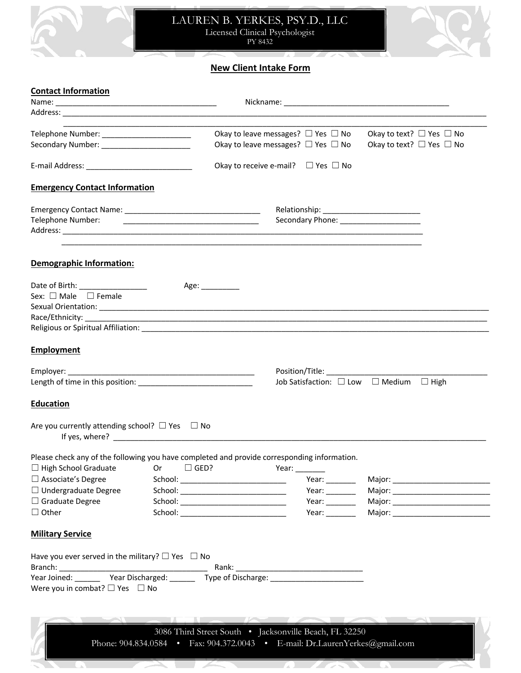



## **New Client Intake Form**

1 s.

**STATISTICS** 

20.

 $\bullet$ 

#### **Contact Information**

UN.

| Telephone Number: __________________________                                                |                                                                                                                                                                                                                                                  | Okay to leave messages? $\Box$ Yes $\Box$ No           |                                   |                                                                                                                                                                                                                                                                                                                                                                                                               | Okay to text? $\Box$ Yes $\Box$ No                              |                                      |
|---------------------------------------------------------------------------------------------|--------------------------------------------------------------------------------------------------------------------------------------------------------------------------------------------------------------------------------------------------|--------------------------------------------------------|-----------------------------------|---------------------------------------------------------------------------------------------------------------------------------------------------------------------------------------------------------------------------------------------------------------------------------------------------------------------------------------------------------------------------------------------------------------|-----------------------------------------------------------------|--------------------------------------|
|                                                                                             |                                                                                                                                                                                                                                                  | Okay to leave messages? $\Box$ Yes $\Box$ No           |                                   |                                                                                                                                                                                                                                                                                                                                                                                                               | Okay to text? $\Box$ Yes $\Box$ No                              |                                      |
|                                                                                             |                                                                                                                                                                                                                                                  | Okay to receive e-mail? $\Box$ Yes $\Box$ No           |                                   |                                                                                                                                                                                                                                                                                                                                                                                                               |                                                                 |                                      |
| <b>Emergency Contact Information</b>                                                        |                                                                                                                                                                                                                                                  |                                                        |                                   |                                                                                                                                                                                                                                                                                                                                                                                                               |                                                                 |                                      |
|                                                                                             |                                                                                                                                                                                                                                                  |                                                        |                                   |                                                                                                                                                                                                                                                                                                                                                                                                               |                                                                 |                                      |
| Telephone Number:                                                                           | <u> 1989 - Johann Harry Harry Harry Harry Harry Harry Harry Harry Harry Harry Harry Harry Harry Harry Harry Harry</u>                                                                                                                            |                                                        |                                   |                                                                                                                                                                                                                                                                                                                                                                                                               | Secondary Phone: _____________________                          |                                      |
|                                                                                             |                                                                                                                                                                                                                                                  |                                                        |                                   |                                                                                                                                                                                                                                                                                                                                                                                                               |                                                                 |                                      |
| Demographic Information:                                                                    |                                                                                                                                                                                                                                                  |                                                        |                                   |                                                                                                                                                                                                                                                                                                                                                                                                               |                                                                 |                                      |
| Date of Birth: _______________                                                              |                                                                                                                                                                                                                                                  | Age: __________                                        |                                   |                                                                                                                                                                                                                                                                                                                                                                                                               |                                                                 |                                      |
| Sex: $\Box$ Male $\Box$ Female                                                              |                                                                                                                                                                                                                                                  |                                                        |                                   |                                                                                                                                                                                                                                                                                                                                                                                                               |                                                                 |                                      |
|                                                                                             |                                                                                                                                                                                                                                                  |                                                        |                                   |                                                                                                                                                                                                                                                                                                                                                                                                               |                                                                 |                                      |
|                                                                                             |                                                                                                                                                                                                                                                  |                                                        |                                   |                                                                                                                                                                                                                                                                                                                                                                                                               |                                                                 |                                      |
|                                                                                             |                                                                                                                                                                                                                                                  |                                                        |                                   |                                                                                                                                                                                                                                                                                                                                                                                                               |                                                                 |                                      |
| <b>Employment</b>                                                                           |                                                                                                                                                                                                                                                  |                                                        |                                   |                                                                                                                                                                                                                                                                                                                                                                                                               |                                                                 |                                      |
|                                                                                             |                                                                                                                                                                                                                                                  |                                                        |                                   |                                                                                                                                                                                                                                                                                                                                                                                                               |                                                                 |                                      |
|                                                                                             |                                                                                                                                                                                                                                                  |                                                        |                                   |                                                                                                                                                                                                                                                                                                                                                                                                               | Job Satisfaction: $\square$ Low $\square$ Medium $\square$ High |                                      |
| <b>Education</b>                                                                            |                                                                                                                                                                                                                                                  |                                                        |                                   |                                                                                                                                                                                                                                                                                                                                                                                                               |                                                                 |                                      |
| Are you currently attending school? $\Box$ Yes $\Box$ No                                    |                                                                                                                                                                                                                                                  |                                                        |                                   |                                                                                                                                                                                                                                                                                                                                                                                                               |                                                                 |                                      |
| Please check any of the following you have completed and provide corresponding information. |                                                                                                                                                                                                                                                  |                                                        |                                   |                                                                                                                                                                                                                                                                                                                                                                                                               |                                                                 |                                      |
| $\Box$ High School Graduate                                                                 | Or the control of the control of the control of the control of the control of the control of the control of th<br>Control of the control of the control of the control of the control of the control of the control of the contro<br>$\Box$ GED? |                                                        | Year: $\_\_$                      |                                                                                                                                                                                                                                                                                                                                                                                                               |                                                                 |                                      |
| $\Box$ Associate's Degree                                                                   |                                                                                                                                                                                                                                                  |                                                        | Year: $\_\_\_\_\_\_\_\_\_\_\_\_\$ |                                                                                                                                                                                                                                                                                                                                                                                                               |                                                                 | Major: _____________________________ |
| $\Box$ Undergraduate Degree                                                                 |                                                                                                                                                                                                                                                  |                                                        |                                   | Year: $\_\_$                                                                                                                                                                                                                                                                                                                                                                                                  |                                                                 |                                      |
| $\Box$ Graduate Degree                                                                      |                                                                                                                                                                                                                                                  |                                                        |                                   | Year: $\_\_$                                                                                                                                                                                                                                                                                                                                                                                                  |                                                                 |                                      |
| $\Box$ Other                                                                                |                                                                                                                                                                                                                                                  |                                                        |                                   | Year: $\frac{1}{\sqrt{1-\frac{1}{2}}\sqrt{1-\frac{1}{2}}\sqrt{1-\frac{1}{2}}\sqrt{1-\frac{1}{2}}\sqrt{1-\frac{1}{2}}\sqrt{1-\frac{1}{2}}\sqrt{1-\frac{1}{2}}\sqrt{1-\frac{1}{2}}\sqrt{1-\frac{1}{2}}\sqrt{1-\frac{1}{2}}\sqrt{1-\frac{1}{2}}\sqrt{1-\frac{1}{2}}\sqrt{1-\frac{1}{2}}\sqrt{1-\frac{1}{2}}\sqrt{1-\frac{1}{2}}\sqrt{1-\frac{1}{2}}\sqrt{1-\frac{1}{2}}\sqrt{1-\frac{1}{2}}\sqrt{1-\frac{1}{2}}$ |                                                                 |                                      |
| <b>Military Service</b>                                                                     |                                                                                                                                                                                                                                                  |                                                        |                                   |                                                                                                                                                                                                                                                                                                                                                                                                               |                                                                 |                                      |
| Have you ever served in the military? $\square$ Yes $\square$ No                            |                                                                                                                                                                                                                                                  |                                                        |                                   |                                                                                                                                                                                                                                                                                                                                                                                                               |                                                                 |                                      |
|                                                                                             |                                                                                                                                                                                                                                                  |                                                        |                                   |                                                                                                                                                                                                                                                                                                                                                                                                               |                                                                 |                                      |
| Were you in combat? $\square$ Yes $\square$ No                                              |                                                                                                                                                                                                                                                  |                                                        |                                   |                                                                                                                                                                                                                                                                                                                                                                                                               |                                                                 |                                      |
|                                                                                             |                                                                                                                                                                                                                                                  |                                                        |                                   |                                                                                                                                                                                                                                                                                                                                                                                                               |                                                                 |                                      |
|                                                                                             |                                                                                                                                                                                                                                                  |                                                        |                                   |                                                                                                                                                                                                                                                                                                                                                                                                               |                                                                 |                                      |
|                                                                                             |                                                                                                                                                                                                                                                  |                                                        |                                   |                                                                                                                                                                                                                                                                                                                                                                                                               |                                                                 |                                      |
|                                                                                             |                                                                                                                                                                                                                                                  | 3086 Third Street South . Jacksonville Beach, FL 32250 |                                   |                                                                                                                                                                                                                                                                                                                                                                                                               |                                                                 |                                      |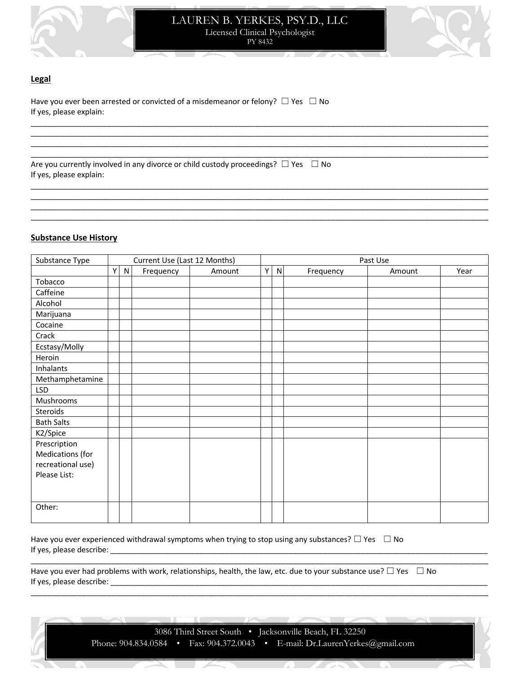

LAUREN B. YERKES, PSY.D., LLC Licensed Clinical Psychologist PY 8432

\_\_\_\_\_\_\_\_\_\_\_\_\_\_\_\_\_\_\_\_\_\_\_\_\_\_\_\_\_\_\_\_\_\_\_\_\_\_\_\_\_\_\_\_\_\_\_\_\_\_\_\_\_\_\_\_\_\_\_\_\_\_\_\_\_\_\_\_\_\_\_\_\_\_\_\_\_\_\_\_\_\_\_\_\_\_\_\_\_\_\_\_\_\_\_\_\_\_\_\_\_\_\_\_\_\_\_\_ \_\_\_\_\_\_\_\_\_\_\_\_\_\_\_\_\_\_\_\_\_\_\_\_\_\_\_\_\_\_\_\_\_\_\_\_\_\_\_\_\_\_\_\_\_\_\_\_\_\_\_\_\_\_\_\_\_\_\_\_\_\_\_\_\_\_\_\_\_\_\_\_\_\_\_\_\_\_\_\_\_\_\_\_\_\_\_\_\_\_\_\_\_\_\_\_\_\_\_\_\_\_\_\_\_\_\_\_ \_\_\_\_\_\_\_\_\_\_\_\_\_\_\_\_\_\_\_\_\_\_\_\_\_\_\_\_\_\_\_\_\_\_\_\_\_\_\_\_\_\_\_\_\_\_\_\_\_\_\_\_\_\_\_\_\_\_\_\_\_\_\_\_\_\_\_\_\_\_\_\_\_\_\_\_\_\_\_\_\_\_\_\_\_\_\_\_\_\_\_\_\_\_\_\_\_\_\_\_\_\_\_\_\_\_\_\_ \_\_\_\_\_\_\_\_\_\_\_\_\_\_\_\_\_\_\_\_\_\_\_\_\_\_\_\_\_\_\_\_\_\_\_\_\_\_\_\_\_\_\_\_\_\_\_\_\_\_\_\_\_\_\_\_\_\_\_\_\_\_\_\_\_\_\_\_\_\_\_\_\_\_\_\_\_\_\_\_\_\_\_\_\_\_\_\_\_\_\_\_\_\_\_\_\_\_\_\_\_\_\_\_\_\_\_\_

\_\_\_\_\_\_\_\_\_\_\_\_\_\_\_\_\_\_\_\_\_\_\_\_\_\_\_\_\_\_\_\_\_\_\_\_\_\_\_\_\_\_\_\_\_\_\_\_\_\_\_\_\_\_\_\_\_\_\_\_\_\_\_\_\_\_\_\_\_\_\_\_\_\_\_\_\_\_\_\_\_\_\_\_\_\_\_\_\_\_\_\_\_\_\_\_\_\_\_\_\_\_\_\_\_\_\_\_ \_\_\_\_\_\_\_\_\_\_\_\_\_\_\_\_\_\_\_\_\_\_\_\_\_\_\_\_\_\_\_\_\_\_\_\_\_\_\_\_\_\_\_\_\_\_\_\_\_\_\_\_\_\_\_\_\_\_\_\_\_\_\_\_\_\_\_\_\_\_\_\_\_\_\_\_\_\_\_\_\_\_\_\_\_\_\_\_\_\_\_\_\_\_\_\_\_\_\_\_\_\_\_\_\_\_\_\_ \_\_\_\_\_\_\_\_\_\_\_\_\_\_\_\_\_\_\_\_\_\_\_\_\_\_\_\_\_\_\_\_\_\_\_\_\_\_\_\_\_\_\_\_\_\_\_\_\_\_\_\_\_\_\_\_\_\_\_\_\_\_\_\_\_\_\_\_\_\_\_\_\_\_\_\_\_\_\_\_\_\_\_\_\_\_\_\_\_\_\_\_\_\_\_\_\_\_\_\_\_\_\_\_\_\_\_\_ \_\_\_\_\_\_\_\_\_\_\_\_\_\_\_\_\_\_\_\_\_\_\_\_\_\_\_\_\_\_\_\_\_\_\_\_\_\_\_\_\_\_\_\_\_\_\_\_\_\_\_\_\_\_\_\_\_\_\_\_\_\_\_\_\_\_\_\_\_\_\_\_\_\_\_\_\_\_\_\_\_\_\_\_\_\_\_\_\_\_\_\_\_\_\_\_\_\_\_\_\_\_\_\_\_\_\_\_



#### **Legal**

Have you ever been arrested or convicted of a misdemeanor or felony?  $\Box$  Yes  $\Box$  No If yes, please explain:

Are you currently involved in any divorce or child custody proceedings?  $\Box$  Yes  $\Box$  No If yes, please explain:

#### **Substance Use History**

| Substance Type    |   |           | Current Use (Last 12 Months) |        | Past Use |   |           |        |      |
|-------------------|---|-----------|------------------------------|--------|----------|---|-----------|--------|------|
|                   | Y | ${\sf N}$ | Frequency                    | Amount | Y        | N | Frequency | Amount | Year |
| Tobacco           |   |           |                              |        |          |   |           |        |      |
| Caffeine          |   |           |                              |        |          |   |           |        |      |
| Alcohol           |   |           |                              |        |          |   |           |        |      |
| Marijuana         |   |           |                              |        |          |   |           |        |      |
| Cocaine           |   |           |                              |        |          |   |           |        |      |
| Crack             |   |           |                              |        |          |   |           |        |      |
| Ecstasy/Molly     |   |           |                              |        |          |   |           |        |      |
| Heroin            |   |           |                              |        |          |   |           |        |      |
| Inhalants         |   |           |                              |        |          |   |           |        |      |
| Methamphetamine   |   |           |                              |        |          |   |           |        |      |
| <b>LSD</b>        |   |           |                              |        |          |   |           |        |      |
| Mushrooms         |   |           |                              |        |          |   |           |        |      |
| Steroids          |   |           |                              |        |          |   |           |        |      |
| <b>Bath Salts</b> |   |           |                              |        |          |   |           |        |      |
| K2/Spice          |   |           |                              |        |          |   |           |        |      |
| Prescription      |   |           |                              |        |          |   |           |        |      |
| Medications (for  |   |           |                              |        |          |   |           |        |      |
| recreational use) |   |           |                              |        |          |   |           |        |      |
| Please List:      |   |           |                              |        |          |   |           |        |      |
|                   |   |           |                              |        |          |   |           |        |      |
|                   |   |           |                              |        |          |   |           |        |      |
| Other:            |   |           |                              |        |          |   |           |        |      |
|                   |   |           |                              |        |          |   |           |        |      |

Have you ever experienced withdrawal symptoms when trying to stop using any substances?  $\Box$  Yes  $\Box$  No If yes, please describe: \_

Have you ever had problems with work, relationships, health, the law, etc. due to your substance use?  $\Box$  Yes  $\Box$  No If yes, please describe:

\_\_\_\_\_\_\_\_\_\_\_\_\_\_\_\_\_\_\_\_\_\_\_\_\_\_\_\_\_\_\_\_\_\_\_\_\_\_\_\_\_\_\_\_\_\_\_\_\_\_\_\_\_\_\_\_\_\_\_\_\_\_\_\_\_\_\_\_\_\_\_\_\_\_\_\_\_\_\_\_\_\_\_\_\_\_\_\_\_\_\_\_\_\_\_\_\_\_\_\_\_\_\_\_\_\_\_\_

\_\_\_\_\_\_\_\_\_\_\_\_\_\_\_\_\_\_\_\_\_\_\_\_\_\_\_\_\_\_\_\_\_\_\_\_\_\_\_\_\_\_\_\_\_\_\_\_\_\_\_\_\_\_\_\_\_\_\_\_\_\_\_\_\_\_\_\_\_\_\_\_\_\_\_\_\_\_\_\_\_\_\_\_\_\_\_\_\_\_\_\_\_\_\_\_\_\_\_\_\_\_\_\_\_\_\_\_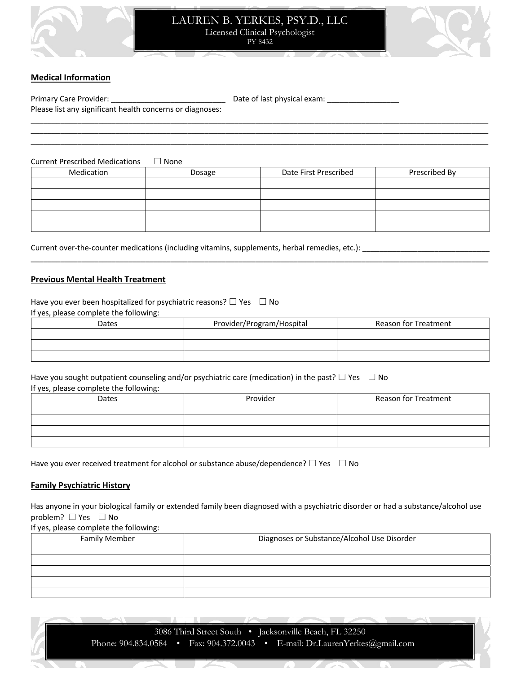

#### LAUREN B. YERKES, PSY.D., LLC Licensed Clinical Psychologist PY 8432



#### **Medical Information**

| Primary Care Provider:                                    | Date of last physical exam: |
|-----------------------------------------------------------|-----------------------------|
| Please list any significant health concerns or diagnoses: |                             |
|                                                           |                             |

Current Prescribed Medications ☐ None Medication **Dosage** Date First Prescribed Prescribed By

\_\_\_\_\_\_\_\_\_\_\_\_\_\_\_\_\_\_\_\_\_\_\_\_\_\_\_\_\_\_\_\_\_\_\_\_\_\_\_\_\_\_\_\_\_\_\_\_\_\_\_\_\_\_\_\_\_\_\_\_\_\_\_\_\_\_\_\_\_\_\_\_\_\_\_\_\_\_\_\_\_\_\_\_\_\_\_\_\_\_\_\_\_\_\_\_\_\_\_\_\_\_\_\_\_\_\_\_

\_\_\_\_\_\_\_\_\_\_\_\_\_\_\_\_\_\_\_\_\_\_\_\_\_\_\_\_\_\_\_\_\_\_\_\_\_\_\_\_\_\_\_\_\_\_\_\_\_\_\_\_\_\_\_\_\_\_\_\_\_\_\_\_\_\_\_\_\_\_\_\_\_\_\_\_\_\_\_\_\_\_\_\_\_\_\_\_\_\_\_\_\_\_\_\_\_\_\_\_\_\_\_\_\_\_\_\_ \_\_\_\_\_\_\_\_\_\_\_\_\_\_\_\_\_\_\_\_\_\_\_\_\_\_\_\_\_\_\_\_\_\_\_\_\_\_\_\_\_\_\_\_\_\_\_\_\_\_\_\_\_\_\_\_\_\_\_\_\_\_\_\_\_\_\_\_\_\_\_\_\_\_\_\_\_\_\_\_\_\_\_\_\_\_\_\_\_\_\_\_\_\_\_\_\_\_\_\_\_\_\_\_\_\_\_\_

Current over-the-counter medications (including vitamins, supplements, herbal remedies, etc.): \_\_\_\_\_\_\_\_\_\_\_\_\_\_\_\_\_\_\_\_\_

#### **Previous Mental Health Treatment**

Have you ever been hospitalized for psychiatric reasons?  $\Box$  Yes  $\Box$  No

If yes, please complete the following:

| Dates | Provider/Program/Hospital | <b>Reason for Treatment</b> |
|-------|---------------------------|-----------------------------|
|       |                           |                             |
|       |                           |                             |
|       |                           |                             |

Have you sought outpatient counseling and/or psychiatric care (medication) in the past?  $\Box$  Yes  $\Box$  No If yes, please complete the following:

| Dates | Provider | Reason for Treatment |
|-------|----------|----------------------|
|       |          |                      |
|       |          |                      |
|       |          |                      |
|       |          |                      |

Have you ever received treatment for alcohol or substance abuse/dependence?  $\Box$  Yes  $\Box$  No

#### **Family Psychiatric History**

Has anyone in your biological family or extended family been diagnosed with a psychiatric disorder or had a substance/alcohol use problem? □ Yes □ No

If yes, please complete the following:

| <b>Family Member</b> | Diagnoses or Substance/Alcohol Use Disorder |  |
|----------------------|---------------------------------------------|--|
|                      |                                             |  |
|                      |                                             |  |
|                      |                                             |  |
|                      |                                             |  |
|                      |                                             |  |

3086 Third Street South • Jacksonville Beach, FL 32250 Phone: 904.834.0584 • Fax: 904.372.0043 • E-mail: Dr.LaurenYerkes@gmail.com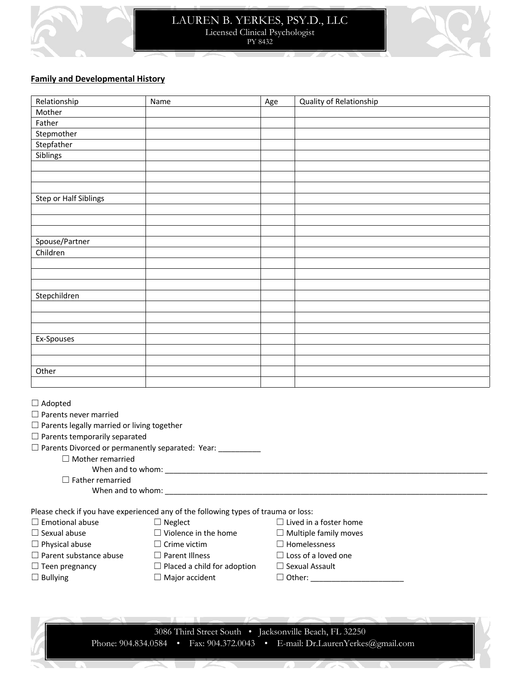

### LAUREN B. YERKES, PSY.D., LLC Licensed Clinical Psychologist PY 8432



#### **Family and Developmental History**

| Relationship                                                                                                                                | Name | Age | Quality of Relationship |
|---------------------------------------------------------------------------------------------------------------------------------------------|------|-----|-------------------------|
| Mother                                                                                                                                      |      |     |                         |
| Father                                                                                                                                      |      |     |                         |
| Stepmother                                                                                                                                  |      |     |                         |
| Stepfather                                                                                                                                  |      |     |                         |
| Siblings                                                                                                                                    |      |     |                         |
|                                                                                                                                             |      |     |                         |
|                                                                                                                                             |      |     |                         |
|                                                                                                                                             |      |     |                         |
| Step or Half Siblings                                                                                                                       |      |     |                         |
|                                                                                                                                             |      |     |                         |
|                                                                                                                                             |      |     |                         |
|                                                                                                                                             |      |     |                         |
| Spouse/Partner                                                                                                                              |      |     |                         |
| Children                                                                                                                                    |      |     |                         |
|                                                                                                                                             |      |     |                         |
|                                                                                                                                             |      |     |                         |
|                                                                                                                                             |      |     |                         |
| Stepchildren                                                                                                                                |      |     |                         |
|                                                                                                                                             |      |     |                         |
|                                                                                                                                             |      |     |                         |
|                                                                                                                                             |      |     |                         |
| Ex-Spouses                                                                                                                                  |      |     |                         |
|                                                                                                                                             |      |     |                         |
|                                                                                                                                             |      |     |                         |
| Other                                                                                                                                       |      |     |                         |
|                                                                                                                                             |      |     |                         |
| $\Box$ Adopted<br>$\Box$ Parents never married<br>$\Box$ Parents legally married or living together<br>$\Box$ Darants tamporarily sanaratad |      |     |                         |

☐ Parents temporarily separated

| $\Box$ Parents Divorced or permanently separated: Year: |  |  |
|---------------------------------------------------------|--|--|
|---------------------------------------------------------|--|--|

☐ Mother remarried

When and to whom: \_\_\_\_\_\_\_\_\_\_\_\_\_\_\_\_\_\_\_\_\_\_\_\_\_\_\_\_\_\_\_\_\_\_\_\_\_\_\_\_\_\_\_\_\_\_\_\_\_\_\_\_\_\_\_\_\_\_\_\_\_\_\_\_\_\_\_\_\_\_\_\_\_\_\_\_

 $\square$  Father remarried

When and to whom:

Please check if you have experienced any of the following types of trauma or loss:

| $\Box$ Emotional abuse        | $\Box$ Neglect                     | $\Box$ Lived in a foster home |
|-------------------------------|------------------------------------|-------------------------------|
| $\Box$ Sexual abuse           | $\Box$ Violence in the home        | $\Box$ Multiple family moves  |
| $\Box$ Physical abuse         | $\Box$ Crime victim                | $\Box$ Homelessness           |
| $\Box$ Parent substance abuse | $\Box$ Parent Illness              | $\Box$ Loss of a loved one    |
| $\Box$ Teen pregnancy         | $\Box$ Placed a child for adoption | $\Box$ Sexual Assault         |
| $\Box$ Bullying               | $\Box$ Major accident              | $\Box$ Other:                 |

3086 Third Street South • Jacksonville Beach, FL 32250 Phone: 904.834.0584 • Fax: 904.372.0043 • E-mail: Dr.LaurenYerkes@gmail.com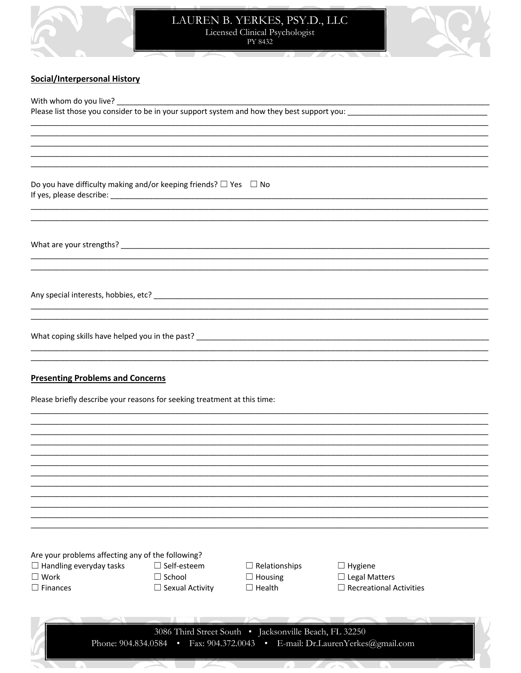

# LAUREN B. YERKES, PSY.D., LLC<br>Licensed Clinical Psychologist<br>PY 8432

<u> De Sa</u>

 $\overline{\phantom{a}}$ 



## **Social/Interpersonal History**

58

k.

J.

| Do you have difficulty making and/or keeping friends? $\Box$ Yes $\Box$ No                                          |                        |                                                        |                                                                             |  |
|---------------------------------------------------------------------------------------------------------------------|------------------------|--------------------------------------------------------|-----------------------------------------------------------------------------|--|
|                                                                                                                     |                        |                                                        |                                                                             |  |
|                                                                                                                     |                        |                                                        |                                                                             |  |
|                                                                                                                     |                        |                                                        |                                                                             |  |
| <b>Presenting Problems and Concerns</b><br>Please briefly describe your reasons for seeking treatment at this time: |                        |                                                        |                                                                             |  |
|                                                                                                                     |                        |                                                        |                                                                             |  |
|                                                                                                                     |                        |                                                        |                                                                             |  |
|                                                                                                                     |                        |                                                        |                                                                             |  |
|                                                                                                                     |                        |                                                        |                                                                             |  |
|                                                                                                                     |                        |                                                        |                                                                             |  |
| Are your problems affecting any of the following?                                                                   | $\Box$ Self-esteem     |                                                        |                                                                             |  |
| $\Box$ Handling everyday tasks<br>$\square$ Work                                                                    | $\Box$ School          | $\Box$ Relationships<br>$\Box$ Housing                 | $\Box$ Hygiene<br>$\Box$ Legal Matters                                      |  |
| $\Box$ Finances                                                                                                     | $\Box$ Sexual Activity | $\Box$ Health                                          | $\Box$ Recreational Activities                                              |  |
|                                                                                                                     |                        |                                                        |                                                                             |  |
|                                                                                                                     |                        |                                                        |                                                                             |  |
|                                                                                                                     |                        | 3086 Third Street South . Jacksonville Beach, FL 32250 | Phone: 904.834.0584 · Fax: 904.372.0043 · E-mail: Dr.LaurenYerkes@gmail.com |  |

Z.

×

x

S.